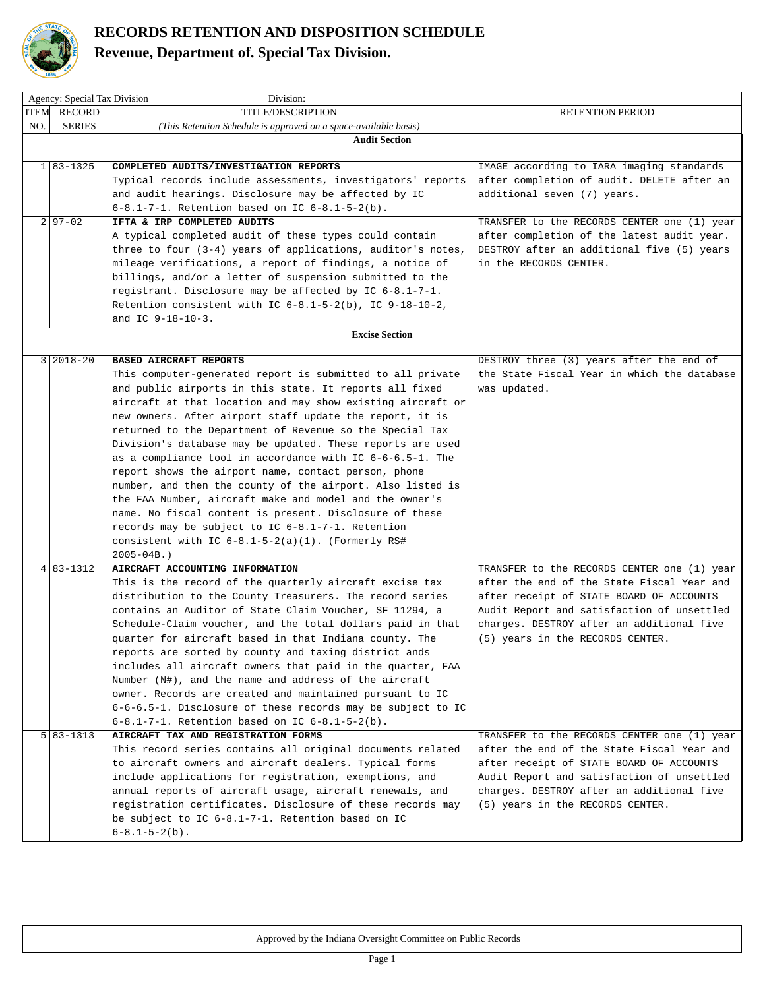

 $\mathbb{R}$ 

## **RECORDS RETENTION AND DISPOSITION SCHEDULE**

## **Revenue, Department of. Special Tax Division.**

|     | Agency: Special Tax Division<br>Division: |                                                                  |                                             |  |
|-----|-------------------------------------------|------------------------------------------------------------------|---------------------------------------------|--|
|     | <b>ITEM RECORD</b>                        | <b>TITLE/DESCRIPTION</b>                                         | <b>RETENTION PERIOD</b>                     |  |
| NO. | <b>SERIES</b>                             | (This Retention Schedule is approved on a space-available basis) |                                             |  |
|     |                                           | <b>Audit Section</b>                                             |                                             |  |
|     |                                           |                                                                  |                                             |  |
|     | $1 83-1325$                               | COMPLETED AUDITS/INVESTIGATION REPORTS                           | IMAGE according to IARA imaging standards   |  |
|     |                                           | Typical records include assessments, investigators' reports      | after completion of audit. DELETE after an  |  |
|     |                                           | and audit hearings. Disclosure may be affected by IC             | additional seven (7) years.                 |  |
|     |                                           | 6-8.1-7-1. Retention based on IC $6-8.1-5-2(b)$ .                |                                             |  |
|     | $2 97-02$                                 | IFTA & IRP COMPLETED AUDITS                                      | TRANSFER to the RECORDS CENTER one (1) year |  |
|     |                                           | A typical completed audit of these types could contain           | after completion of the latest audit year.  |  |
|     |                                           | three to four (3-4) years of applications, auditor's notes,      | DESTROY after an additional five (5) years  |  |
|     |                                           | mileage verifications, a report of findings, a notice of         | in the RECORDS CENTER.                      |  |
|     |                                           | billings, and/or a letter of suspension submitted to the         |                                             |  |
|     |                                           | registrant. Disclosure may be affected by IC 6-8.1-7-1.          |                                             |  |
|     |                                           | Retention consistent with IC $6-8.1-5-2(b)$ , IC $9-18-10-2$ ,   |                                             |  |
|     |                                           | and IC $9-18-10-3$ .                                             |                                             |  |
|     |                                           | <b>Excise Section</b>                                            |                                             |  |
|     |                                           |                                                                  |                                             |  |
|     | $3 2018-20$                               | <b>BASED AIRCRAFT REPORTS</b>                                    | DESTROY three (3) years after the end of    |  |
|     |                                           | This computer-generated report is submitted to all private       | the State Fiscal Year in which the database |  |
|     |                                           | and public airports in this state. It reports all fixed          | was updated.                                |  |
|     |                                           | aircraft at that location and may show existing aircraft or      |                                             |  |
|     |                                           | new owners. After airport staff update the report, it is         |                                             |  |
|     |                                           | returned to the Department of Revenue so the Special Tax         |                                             |  |
|     |                                           | Division's database may be updated. These reports are used       |                                             |  |
|     |                                           | as a compliance tool in accordance with IC 6-6-6.5-1. The        |                                             |  |
|     |                                           | report shows the airport name, contact person, phone             |                                             |  |
|     |                                           | number, and then the county of the airport. Also listed is       |                                             |  |
|     |                                           | the FAA Number, aircraft make and model and the owner's          |                                             |  |
|     |                                           | name. No fiscal content is present. Disclosure of these          |                                             |  |
|     |                                           | records may be subject to IC 6-8.1-7-1. Retention                |                                             |  |
|     |                                           | consistent with IC $6-8.1-5-2(a)(1)$ . (Formerly RS#             |                                             |  |
|     |                                           | $2005 - 04B.$ )                                                  |                                             |  |
|     | $4 83-1312$                               | AIRCRAFT ACCOUNTING INFORMATION                                  | TRANSFER to the RECORDS CENTER one (1) year |  |
|     |                                           | This is the record of the quarterly aircraft excise tax          | after the end of the State Fiscal Year and  |  |
|     |                                           | distribution to the County Treasurers. The record series         | after receipt of STATE BOARD OF ACCOUNTS    |  |
|     |                                           | contains an Auditor of State Claim Voucher, SF 11294, a          | Audit Report and satisfaction of unsettled  |  |
|     |                                           | Schedule-Claim voucher, and the total dollars paid in that       | charges. DESTROY after an additional five   |  |
|     |                                           | quarter for aircraft based in that Indiana county. The           | (5) years in the RECORDS CENTER.            |  |
|     |                                           | reports are sorted by county and taxing district ands            |                                             |  |
|     |                                           | includes all aircraft owners that paid in the quarter, FAA       |                                             |  |
|     |                                           | Number (N#), and the name and address of the aircraft            |                                             |  |
|     |                                           | owner. Records are created and maintained pursuant to IC         |                                             |  |
|     |                                           | 6-6-6.5-1. Disclosure of these records may be subject to IC      |                                             |  |
|     |                                           | 6-8.1-7-1. Retention based on IC $6-8.1-5-2(b)$ .                |                                             |  |
|     | $5 83-1313$                               | AIRCRAFT TAX AND REGISTRATION FORMS                              | TRANSFER to the RECORDS CENTER one (1) year |  |
|     |                                           | This record series contains all original documents related       | after the end of the State Fiscal Year and  |  |
|     |                                           | to aircraft owners and aircraft dealers. Typical forms           | after receipt of STATE BOARD OF ACCOUNTS    |  |
|     |                                           | include applications for registration, exemptions, and           | Audit Report and satisfaction of unsettled  |  |
|     |                                           | annual reports of aircraft usage, aircraft renewals, and         | charges. DESTROY after an additional five   |  |
|     |                                           | registration certificates. Disclosure of these records may       | (5) years in the RECORDS CENTER.            |  |
|     |                                           | be subject to IC 6-8.1-7-1. Retention based on IC                |                                             |  |
|     |                                           | $6-8.1-5-2(b)$ .                                                 |                                             |  |
|     |                                           |                                                                  |                                             |  |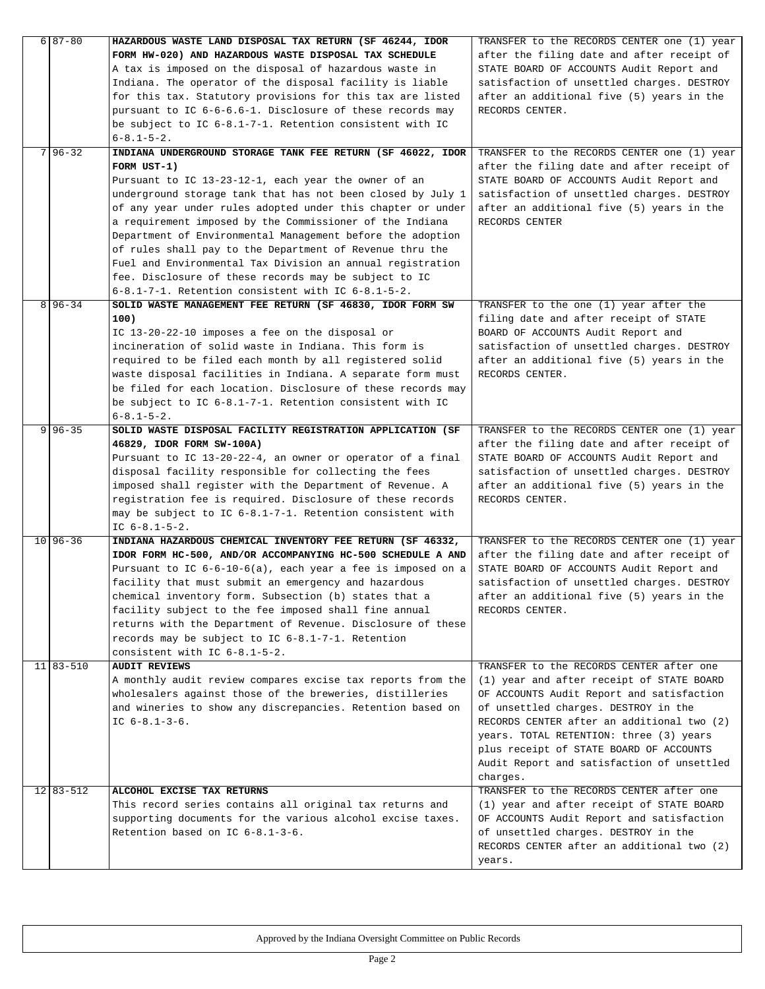| $6 87-80$     | HAZARDOUS WASTE LAND DISPOSAL TAX RETURN (SF 46244, IDOR                                                          | TRANSFER to the RECORDS CENTER one (1) year          |
|---------------|-------------------------------------------------------------------------------------------------------------------|------------------------------------------------------|
|               | FORM HW-020) AND HAZARDOUS WASTE DISPOSAL TAX SCHEDULE                                                            | after the filing date and after receipt of           |
|               | A tax is imposed on the disposal of hazardous waste in                                                            | STATE BOARD OF ACCOUNTS Audit Report and             |
|               | Indiana. The operator of the disposal facility is liable                                                          | satisfaction of unsettled charges. DESTROY           |
|               | for this tax. Statutory provisions for this tax are listed                                                        | after an additional five (5) years in the            |
|               | pursuant to IC 6-6-6.6-1. Disclosure of these records may                                                         | RECORDS CENTER.                                      |
|               | be subject to IC 6-8.1-7-1. Retention consistent with IC                                                          |                                                      |
|               | $6 - 8.1 - 5 - 2.$                                                                                                |                                                      |
| $7 96-32$     | INDIANA UNDERGROUND STORAGE TANK FEE RETURN (SF 46022, IDOR                                                       | TRANSFER to the RECORDS CENTER one (1) year          |
|               | FORM UST-1)                                                                                                       | after the filing date and after receipt of           |
|               | Pursuant to IC 13-23-12-1, each year the owner of an                                                              | STATE BOARD OF ACCOUNTS Audit Report and             |
|               | underground storage tank that has not been closed by July 1                                                       | satisfaction of unsettled charges. DESTROY           |
|               | of any year under rules adopted under this chapter or under                                                       | after an additional five (5) years in the            |
|               | a requirement imposed by the Commissioner of the Indiana                                                          | RECORDS CENTER                                       |
|               | Department of Environmental Management before the adoption                                                        |                                                      |
|               | of rules shall pay to the Department of Revenue thru the                                                          |                                                      |
|               | Fuel and Environmental Tax Division an annual registration                                                        |                                                      |
|               |                                                                                                                   |                                                      |
|               | fee. Disclosure of these records may be subject to IC<br>$6-8.1-7-1$ . Retention consistent with IC $6-8.1-5-2$ . |                                                      |
|               |                                                                                                                   |                                                      |
| $8 96-34$     | SOLID WASTE MANAGEMENT FEE RETURN (SF 46830, IDOR FORM SW                                                         | TRANSFER to the one (1) year after the               |
|               | 100)                                                                                                              | filing date and after receipt of STATE               |
|               | IC 13-20-22-10 imposes a fee on the disposal or                                                                   | BOARD OF ACCOUNTS Audit Report and                   |
|               | incineration of solid waste in Indiana. This form is                                                              | satisfaction of unsettled charges. DESTROY           |
|               | required to be filed each month by all registered solid                                                           | after an additional five (5) years in the            |
|               | waste disposal facilities in Indiana. A separate form must                                                        | RECORDS CENTER.                                      |
|               | be filed for each location. Disclosure of these records may                                                       |                                                      |
|               | be subject to IC 6-8.1-7-1. Retention consistent with IC                                                          |                                                      |
|               | $6 - 8.1 - 5 - 2.$                                                                                                |                                                      |
| $9 96-35$     | SOLID WASTE DISPOSAL FACILITY REGISTRATION APPLICATION (SF                                                        | TRANSFER to the RECORDS CENTER one (1) year          |
|               | 46829, IDOR FORM SW-100A)                                                                                         | after the filing date and after receipt of           |
|               | Pursuant to IC 13-20-22-4, an owner or operator of a final                                                        | STATE BOARD OF ACCOUNTS Audit Report and             |
|               | disposal facility responsible for collecting the fees                                                             | satisfaction of unsettled charges. DESTROY           |
|               | imposed shall register with the Department of Revenue. A                                                          | after an additional five (5) years in the            |
|               | registration fee is required. Disclosure of these records                                                         | RECORDS CENTER.                                      |
|               | may be subject to IC 6-8.1-7-1. Retention consistent with                                                         |                                                      |
|               | IC $6-8.1-5-2.$                                                                                                   |                                                      |
| $10 96-36$    | INDIANA HAZARDOUS CHEMICAL INVENTORY FEE RETURN (SF 46332,                                                        | TRANSFER to the RECORDS CENTER one (1) year          |
|               |                                                                                                                   |                                                      |
|               | IDOR FORM HC-500, AND/OR ACCOMPANYING HC-500 SCHEDULE A AND                                                       | after the filing date and after receipt of           |
|               | Pursuant to IC 6-6-10-6(a), each year a fee is imposed on a                                                       | STATE BOARD OF ACCOUNTS Audit Report and             |
|               | facility that must submit an emergency and hazardous                                                              | satisfaction of unsettled charges. DESTROY           |
|               | chemical inventory form. Subsection (b) states that a                                                             | after an additional five (5) years in the            |
|               | facility subject to the fee imposed shall fine annual                                                             | RECORDS CENTER.                                      |
|               | returns with the Department of Revenue. Disclosure of these                                                       |                                                      |
|               | records may be subject to IC 6-8.1-7-1. Retention                                                                 |                                                      |
|               | consistent with IC 6-8.1-5-2.                                                                                     |                                                      |
| $11 83-510$   | <b>AUDIT REVIEWS</b>                                                                                              | TRANSFER to the RECORDS CENTER after one             |
|               | A monthly audit review compares excise tax reports from the                                                       | (1) year and after receipt of STATE BOARD            |
|               | wholesalers against those of the breweries, distilleries                                                          | OF ACCOUNTS Audit Report and satisfaction            |
|               | and wineries to show any discrepancies. Retention based on                                                        | of unsettled charges. DESTROY in the                 |
|               | IC $6-8.1-3-6.$                                                                                                   | RECORDS CENTER after an additional two (2)           |
|               |                                                                                                                   | years. TOTAL RETENTION: three (3) years              |
|               |                                                                                                                   | plus receipt of STATE BOARD OF ACCOUNTS              |
|               |                                                                                                                   | Audit Report and satisfaction of unsettled           |
|               |                                                                                                                   | charges.                                             |
| $12$   83-512 | ALCOHOL EXCISE TAX RETURNS                                                                                        | TRANSFER to the RECORDS CENTER after one             |
|               | This record series contains all original tax returns and                                                          | (1) year and after receipt of STATE BOARD            |
|               | supporting documents for the various alcohol excise taxes.                                                        | OF ACCOUNTS Audit Report and satisfaction            |
|               | Retention based on IC 6-8.1-3-6.                                                                                  |                                                      |
|               |                                                                                                                   | of unsettled charges. DESTROY in the                 |
|               |                                                                                                                   | RECORDS CENTER after an additional two (2)<br>years. |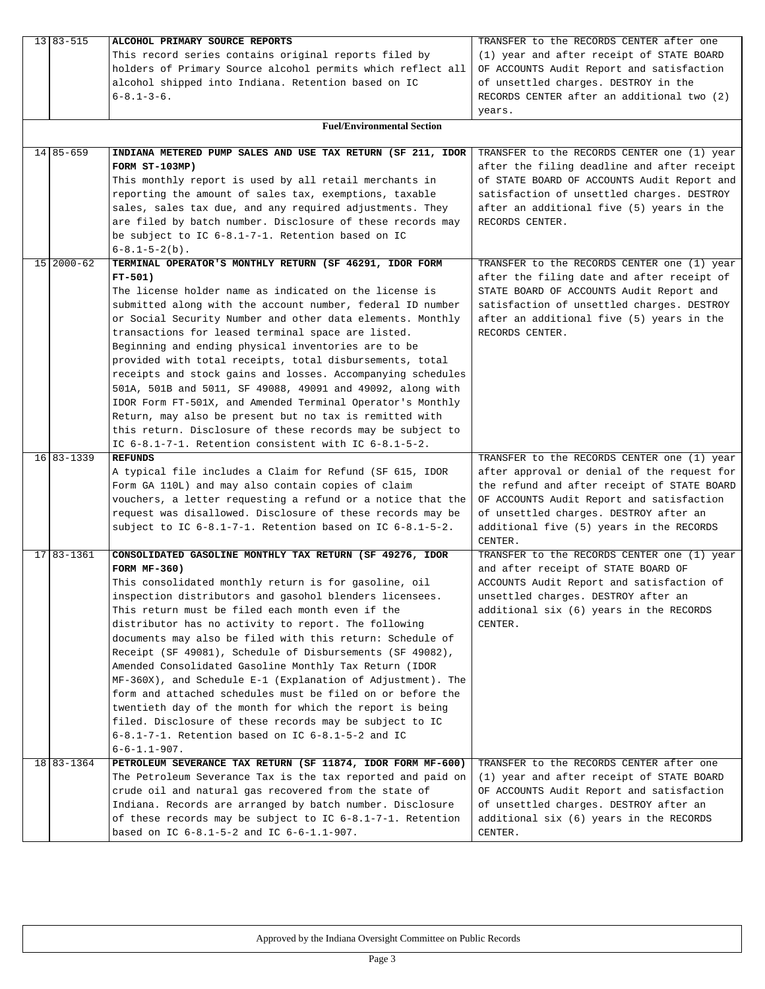| 13 83 - 515  | ALCOHOL PRIMARY SOURCE REPORTS                                             | TRANSFER to the RECORDS CENTER after one                                                   |
|--------------|----------------------------------------------------------------------------|--------------------------------------------------------------------------------------------|
|              | This record series contains original reports filed by                      | (1) year and after receipt of STATE BOARD                                                  |
|              | holders of Primary Source alcohol permits which reflect all                | OF ACCOUNTS Audit Report and satisfaction                                                  |
|              | alcohol shipped into Indiana. Retention based on IC                        | of unsettled charges. DESTROY in the                                                       |
|              | $6 - 8.1 - 3 - 6.$                                                         | RECORDS CENTER after an additional two (2)                                                 |
|              |                                                                            | years.                                                                                     |
|              | <b>Fuel/Environmental Section</b>                                          |                                                                                            |
|              |                                                                            |                                                                                            |
| 14 85 - 659  | INDIANA METERED PUMP SALES AND USE TAX RETURN (SF 211, IDOR                | TRANSFER to the RECORDS CENTER one (1) year                                                |
|              | FORM ST-103MP)                                                             | after the filing deadline and after receipt                                                |
|              | This monthly report is used by all retail merchants in                     | of STATE BOARD OF ACCOUNTS Audit Report and                                                |
|              | reporting the amount of sales tax, exemptions, taxable                     | satisfaction of unsettled charges. DESTROY                                                 |
|              | sales, sales tax due, and any required adjustments. They                   | after an additional five (5) years in the                                                  |
|              | are filed by batch number. Disclosure of these records may                 | RECORDS CENTER.                                                                            |
|              | be subject to IC 6-8.1-7-1. Retention based on IC                          |                                                                                            |
|              | $6-8.1-5-2(b)$ .                                                           |                                                                                            |
| 15 2000-62   | TERMINAL OPERATOR'S MONTHLY RETURN (SF 46291, IDOR FORM                    | TRANSFER to the RECORDS CENTER one (1) year                                                |
|              | $FT-501)$                                                                  | after the filing date and after receipt of                                                 |
|              | The license holder name as indicated on the license is                     | STATE BOARD OF ACCOUNTS Audit Report and                                                   |
|              | submitted along with the account number, federal ID number                 | satisfaction of unsettled charges. DESTROY                                                 |
|              | or Social Security Number and other data elements. Monthly                 | after an additional five (5) years in the                                                  |
|              | transactions for leased terminal space are listed.                         | RECORDS CENTER.                                                                            |
|              | Beginning and ending physical inventories are to be                        |                                                                                            |
|              | provided with total receipts, total disbursements, total                   |                                                                                            |
|              | receipts and stock gains and losses. Accompanying schedules                |                                                                                            |
|              | 501A, 501B and 5011, SF 49088, 49091 and 49092, along with                 |                                                                                            |
|              | IDOR Form FT-501X, and Amended Terminal Operator's Monthly                 |                                                                                            |
|              | Return, may also be present but no tax is remitted with                    |                                                                                            |
|              | this return. Disclosure of these records may be subject to                 |                                                                                            |
|              | IC 6-8.1-7-1. Retention consistent with IC 6-8.1-5-2.                      |                                                                                            |
| 16 83 - 1339 | <b>REFUNDS</b><br>A typical file includes a Claim for Refund (SF 615, IDOR | TRANSFER to the RECORDS CENTER one (1) year<br>after approval or denial of the request for |
|              | Form GA 110L) and may also contain copies of claim                         | the refund and after receipt of STATE BOARD                                                |
|              | vouchers, a letter requesting a refund or a notice that the                | OF ACCOUNTS Audit Report and satisfaction                                                  |
|              | request was disallowed. Disclosure of these records may be                 | of unsettled charges. DESTROY after an                                                     |
|              | subject to IC $6-8.1-7-1$ . Retention based on IC $6-8.1-5-2$ .            | additional five (5) years in the RECORDS                                                   |
|              |                                                                            | CENTER.                                                                                    |
| 17 83 - 1361 | CONSOLIDATED GASOLINE MONTHLY TAX RETURN (SF 49276, IDOR                   | TRANSFER to the RECORDS CENTER one (1) year                                                |
|              | <b>FORM MF-360)</b>                                                        | and after receipt of STATE BOARD OF                                                        |
|              | This consolidated monthly return is for gasoline, oil                      | ACCOUNTS Audit Report and satisfaction of                                                  |
|              | inspection distributors and gasohol blenders licensees.                    | unsettled charges. DESTROY after an                                                        |
|              | This return must be filed each month even if the                           | additional six (6) years in the RECORDS                                                    |
|              | distributor has no activity to report. The following                       | CENTER.                                                                                    |
|              | documents may also be filed with this return: Schedule of                  |                                                                                            |
|              | Receipt (SF 49081), Schedule of Disbursements (SF 49082),                  |                                                                                            |
|              | Amended Consolidated Gasoline Monthly Tax Return (IDOR                     |                                                                                            |
|              | $MF-360X)$ , and Schedule E-1 (Explanation of Adjustment). The             |                                                                                            |
|              | form and attached schedules must be filed on or before the                 |                                                                                            |
|              | twentieth day of the month for which the report is being                   |                                                                                            |
|              | filed. Disclosure of these records may be subject to IC                    |                                                                                            |
|              | 6-8.1-7-1. Retention based on IC 6-8.1-5-2 and IC                          |                                                                                            |
|              | $6 - 6 - 1.1 - 907.$                                                       |                                                                                            |
| 18 83 - 1364 | PETROLEUM SEVERANCE TAX RETURN (SF 11874, IDOR FORM MF-600)                | TRANSFER to the RECORDS CENTER after one                                                   |
|              | The Petroleum Severance Tax is the tax reported and paid on                | (1) year and after receipt of STATE BOARD                                                  |
|              | crude oil and natural gas recovered from the state of                      | OF ACCOUNTS Audit Report and satisfaction                                                  |
|              | Indiana. Records are arranged by batch number. Disclosure                  | of unsettled charges. DESTROY after an                                                     |
|              | of these records may be subject to IC $6-8.1-7-1$ . Retention              | additional six (6) years in the RECORDS                                                    |
|              | based on IC $6-8.1-5-2$ and IC $6-6-1.1-907$ .                             | CENTER.                                                                                    |
|              |                                                                            |                                                                                            |

 $\mathbb{R}$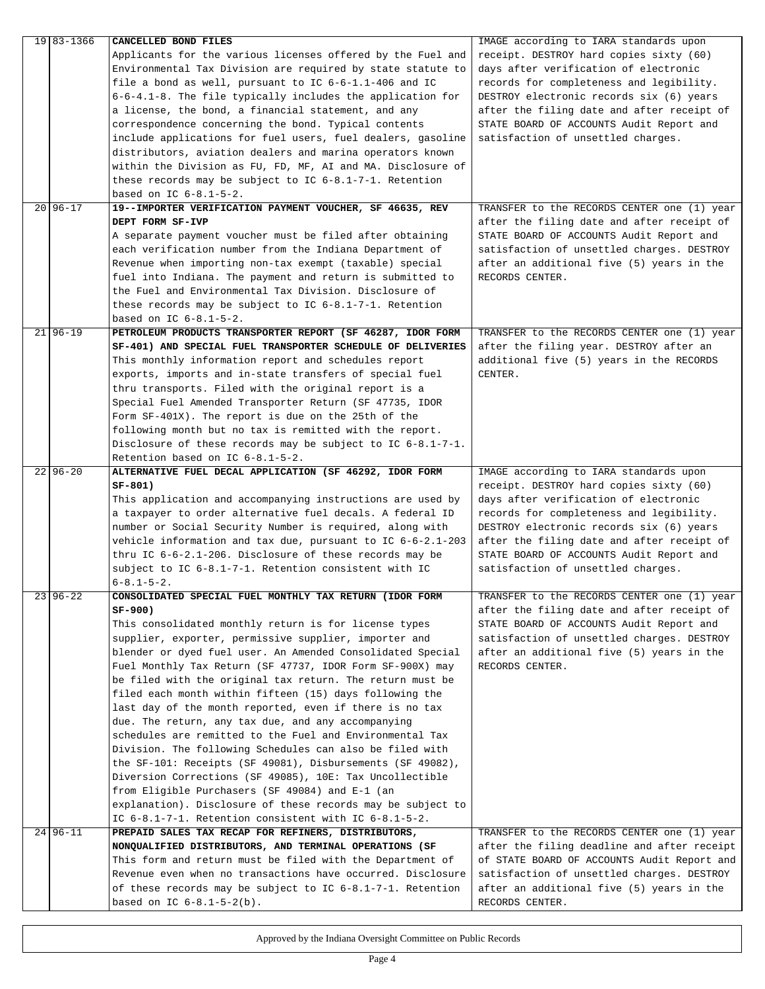| 19 83 - 1366 | CANCELLED BOND FILES                                           | IMAGE according to IARA standards upon      |
|--------------|----------------------------------------------------------------|---------------------------------------------|
|              | Applicants for the various licenses offered by the Fuel and    | receipt. DESTROY hard copies sixty (60)     |
|              | Environmental Tax Division are required by state statute to    | days after verification of electronic       |
|              | file a bond as well, pursuant to IC 6-6-1.1-406 and IC         | records for completeness and legibility.    |
|              | $6-6-4.1-8$ . The file typically includes the application for  | DESTROY electronic records six (6) years    |
|              | a license, the bond, a financial statement, and any            | after the filing date and after receipt of  |
|              | correspondence concerning the bond. Typical contents           | STATE BOARD OF ACCOUNTS Audit Report and    |
|              | include applications for fuel users, fuel dealers, gasoline    | satisfaction of unsettled charges.          |
|              | distributors, aviation dealers and marina operators known      |                                             |
|              | within the Division as FU, FD, MF, AI and MA. Disclosure of    |                                             |
|              | these records may be subject to IC 6-8.1-7-1. Retention        |                                             |
|              | based on IC $6-8.1-5-2$ .                                      |                                             |
| $20 96-17$   | 19--IMPORTER VERIFICATION PAYMENT VOUCHER, SF 46635, REV       | TRANSFER to the RECORDS CENTER one (1) year |
|              | DEPT FORM SF-IVP                                               | after the filing date and after receipt of  |
|              | A separate payment voucher must be filed after obtaining       | STATE BOARD OF ACCOUNTS Audit Report and    |
|              | each verification number from the Indiana Department of        | satisfaction of unsettled charges. DESTROY  |
|              | Revenue when importing non-tax exempt (taxable) special        | after an additional five (5) years in the   |
|              | fuel into Indiana. The payment and return is submitted to      | RECORDS CENTER.                             |
|              | the Fuel and Environmental Tax Division. Disclosure of         |                                             |
|              | these records may be subject to IC $6-8.1-7-1$ . Retention     |                                             |
|              | based on IC $6-8.1-5-2$ .                                      |                                             |
| $21 96-19$   | PETROLEUM PRODUCTS TRANSPORTER REPORT (SF 46287, IDOR FORM     | TRANSFER to the RECORDS CENTER one (1) year |
|              | SF-401) AND SPECIAL FUEL TRANSPORTER SCHEDULE OF DELIVERIES    | after the filing year. DESTROY after an     |
|              | This monthly information report and schedules report           | additional five (5) years in the RECORDS    |
|              | exports, imports and in-state transfers of special fuel        | CENTER.                                     |
|              | thru transports. Filed with the original report is a           |                                             |
|              | Special Fuel Amended Transporter Return (SF 47735, IDOR        |                                             |
|              | Form SF-401X). The report is due on the 25th of the            |                                             |
|              | following month but no tax is remitted with the report.        |                                             |
|              | Disclosure of these records may be subject to IC $6-8.1-7-1$ . |                                             |
|              | Retention based on IC 6-8.1-5-2.                               |                                             |
| $22 96-20$   | ALTERNATIVE FUEL DECAL APPLICATION (SF 46292, IDOR FORM        | IMAGE according to IARA standards upon      |
|              | SF-801)                                                        | receipt. DESTROY hard copies sixty (60)     |
|              | This application and accompanying instructions are used by     | days after verification of electronic       |
|              | a taxpayer to order alternative fuel decals. A federal ID      | records for completeness and legibility.    |
|              | number or Social Security Number is required, along with       | DESTROY electronic records six (6) years    |
|              | vehicle information and tax due, pursuant to IC 6-6-2.1-203    | after the filing date and after receipt of  |
|              | thru IC $6-6-2.1-206$ . Disclosure of these records may be     | STATE BOARD OF ACCOUNTS Audit Report and    |
|              | subject to IC 6-8.1-7-1. Retention consistent with IC          | satisfaction of unsettled charges.          |
|              | $6 - 8.1 - 5 - 2.$                                             |                                             |
| $23 96-22$   | CONSOLIDATED SPECIAL FUEL MONTHLY TAX RETURN (IDOR FORM        | TRANSFER to the RECORDS CENTER one (1) year |
|              | SF-900)                                                        | after the filing date and after receipt of  |
|              | This consolidated monthly return is for license types          | STATE BOARD OF ACCOUNTS Audit Report and    |
|              | supplier, exporter, permissive supplier, importer and          | satisfaction of unsettled charges. DESTROY  |
|              | blender or dyed fuel user. An Amended Consolidated Special     | after an additional five (5) years in the   |
|              | Fuel Monthly Tax Return (SF 47737, IDOR Form SF-900X) may      | RECORDS CENTER.                             |
|              | be filed with the original tax return. The return must be      |                                             |
|              | filed each month within fifteen (15) days following the        |                                             |
|              | last day of the month reported, even if there is no tax        |                                             |
|              | due. The return, any tax due, and any accompanying             |                                             |
|              | schedules are remitted to the Fuel and Environmental Tax       |                                             |
|              | Division. The following Schedules can also be filed with       |                                             |
|              | the SF-101: Receipts (SF 49081), Disbursements (SF 49082),     |                                             |
|              | Diversion Corrections (SF 49085), 10E: Tax Uncollectible       |                                             |
|              | from Eligible Purchasers (SF 49084) and E-1 (an                |                                             |
|              | explanation). Disclosure of these records may be subject to    |                                             |
|              | IC 6-8.1-7-1. Retention consistent with IC 6-8.1-5-2.          |                                             |
| $24 96-11$   | PREPAID SALES TAX RECAP FOR REFINERS, DISTRIBUTORS,            | TRANSFER to the RECORDS CENTER one (1) year |
|              | NONQUALIFIED DISTRIBUTORS, AND TERMINAL OPERATIONS (SF         | after the filing deadline and after receipt |
|              | This form and return must be filed with the Department of      | of STATE BOARD OF ACCOUNTS Audit Report and |
|              | Revenue even when no transactions have occurred. Disclosure    | satisfaction of unsettled charges. DESTROY  |
|              | of these records may be subject to IC $6-8.1-7-1$ . Retention  | after an additional five (5) years in the   |
|              | based on IC $6-8.1-5-2(b)$ .                                   | RECORDS CENTER.                             |